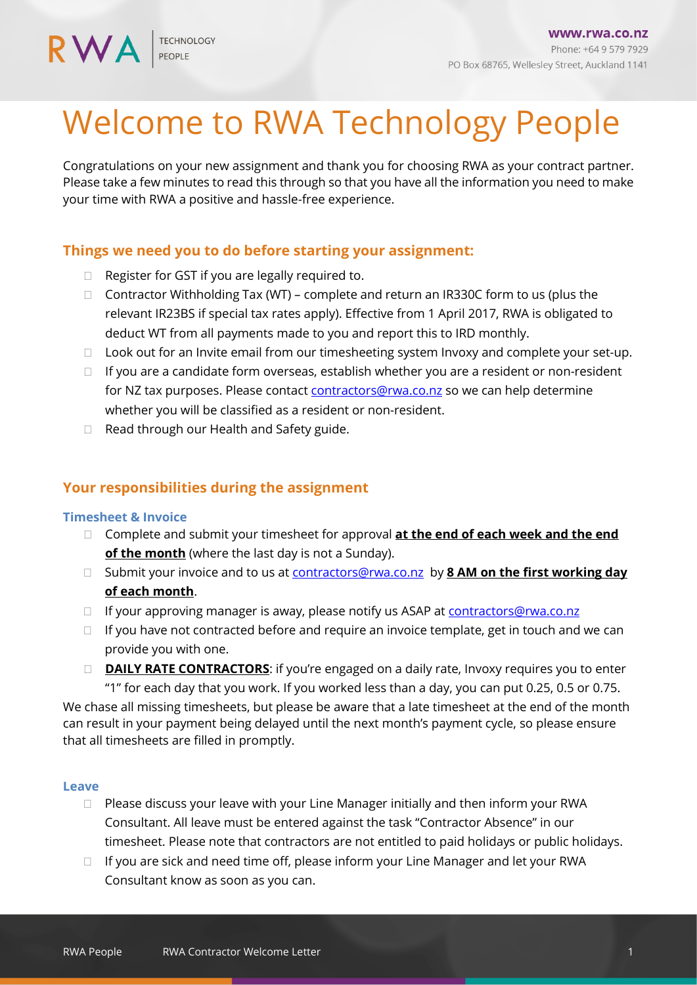**RWA** 

# Welcome to RWA Technology People

Congratulations on your new assignment and thank you for choosing RWA as your contract partner. Please take a few minutes to read this through so that you have all the information you need to make your time with RWA a positive and hassle-free experience.

## **Things we need you to do before starting your assignment:**

- □ Register for GST if you are legally required to.
- $\Box$  Contractor Withholding Tax (WT) complete and return an IR330C form to us (plus the relevant IR23BS if special tax rates apply). Effective from 1 April 2017, RWA is obligated to deduct WT from all payments made to you and report this to IRD monthly.
- $\Box$  Look out for an Invite email from our timesheeting system Invoxy and complete your set-up.
- $\Box$  If you are a candidate form overseas, establish whether you are a resident or non-resident for NZ tax purposes. Please contac[t contractors@rwa.co.nz](mailto:contractors@rwa.co.nz) so we can help determine whether you will be classified as a resident or non-resident.
- □ Read through our Health and Safety guide.

## **Your responsibilities during the assignment**

#### **Timesheet & Invoice**

- Complete and submit your timesheet for approval **at the end of each week and the end of the month** (where the last day is not a Sunday).
- □ Submit your invoice and to us at [contractors@rwa.co.nz](mailto:contractors@rwa.co.nz) by **8 AM on the first working day of each month**.
- □ If your approving manager is away, please notify us ASAP at [contractors@rwa.co.nz](mailto:contractors@rwa.co.nz)
- $\Box$  If you have not contracted before and require an invoice template, get in touch and we can provide you with one.
- □ **DAILY RATE CONTRACTORS**: if you're engaged on a daily rate, Invoxy requires you to enter "1" for each day that you work. If you worked less than a day, you can put 0.25, 0.5 or 0.75.

We chase all missing timesheets, but please be aware that a late timesheet at the end of the month can result in your payment being delayed until the next month's payment cycle, so please ensure that all timesheets are filled in promptly.

#### **Leave**

- $\Box$  Please discuss your leave with your Line Manager initially and then inform your RWA Consultant. All leave must be entered against the task "Contractor Absence" in our timesheet. Please note that contractors are not entitled to paid holidays or public holidays.
- $\Box$  If you are sick and need time off, please inform your Line Manager and let your RWA Consultant know as soon as you can.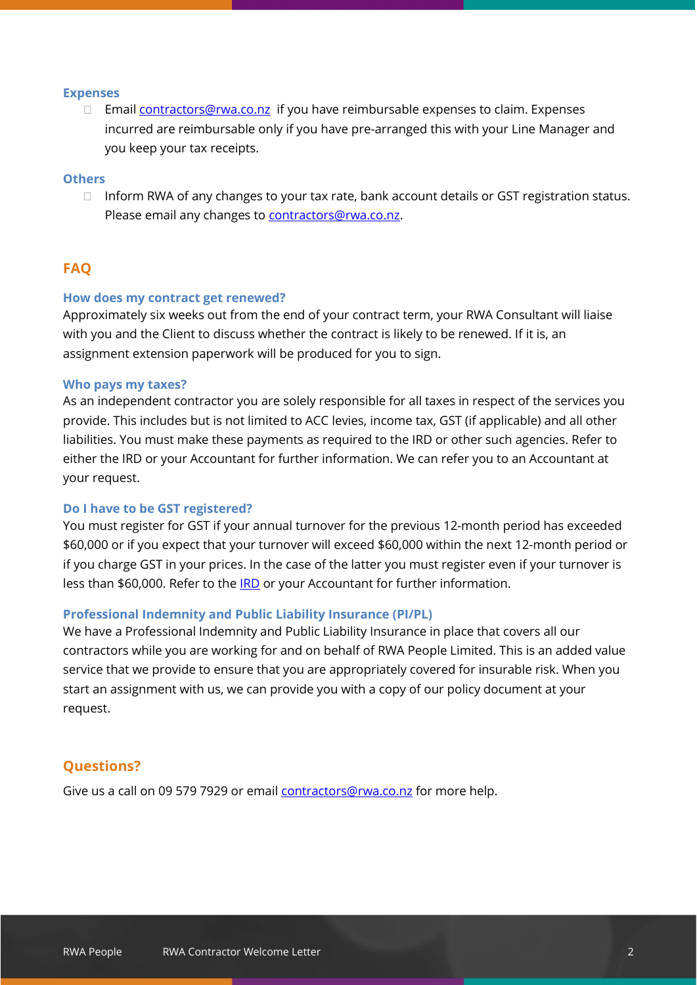#### **Expenses**

□ Email [contractors@rwa.co.nz](mailto:contractors@rwa.co.nz) if you have reimbursable expenses to claim. Expenses incurred are reimbursable only if you have pre-arranged this with your Line Manager and you keep your tax receipts.

#### **Others**

 $\Box$  Inform RWA of any changes to your tax rate, bank account details or GST registration status. Please email any changes to [contractors@rwa.co.nz.](mailto:contractors@rwa.co.nz)

## **FAQ**

#### **How does my contract get renewed?**

Approximately six weeks out from the end of your contract term, your RWA Consultant will liaise with you and the Client to discuss whether the contract is likely to be renewed. If it is, an assignment extension paperwork will be produced for you to sign.

#### **Who pays my taxes?**

As an independent contractor you are solely responsible for all taxes in respect of the services you provide. This includes but is not limited to ACC levies, income tax, GST (if applicable) and all other liabilities. You must make these payments as required to the IRD or other such agencies. Refer to either the IRD or your Accountant for further information. We can refer you to an Accountant at your request.

#### **Do I have to be GST registered?**

You must register for GST if your annual turnover for the previous 12-month period has exceeded \$60,000 or if you expect that your turnover will exceed \$60,000 within the next 12-month period or if you charge GST in your prices. In the case of the latter you must register even if your turnover is less than \$60,000. Refer to the [IRD](http://www.ird.govt.nz/gst/gst-index.html) or your Accountant for further information.

#### **Professional Indemnity and Public Liability Insurance (PI/PL)**

We have a Professional Indemnity and Public Liability Insurance in place that covers all our contractors while you are working for and on behalf of RWA People Limited. This is an added value service that we provide to ensure that you are appropriately covered for insurable risk. When you start an assignment with us, we can provide you with a copy of our policy document at your request.

## **Questions?**

Give us a call on 09 579 7929 or email **contractors@rwa.co.nz** for more help.